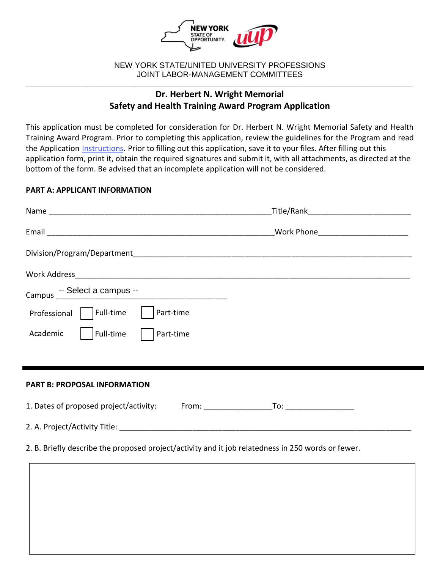

#### NEW YORK STATE/UNITED UNIVERSITY PROFESSIONS JOINT LABOR-MANAGEMENT COMMITTEES **\_\_\_\_\_\_\_\_\_\_\_\_\_\_\_\_\_\_\_\_\_\_\_\_\_\_\_\_\_\_\_\_\_\_\_\_\_\_\_\_\_\_\_\_\_\_\_\_\_\_\_\_\_\_\_\_\_\_\_\_\_\_\_\_\_\_\_\_\_\_\_\_\_\_\_\_\_\_\_\_\_\_\_\_\_\_\_\_**

# **Dr. Herbert N. Wright Memorial Safety and Health Training Award Program Application**

This application must be completed for consideration for Dr. Herbert N. Wright Memorial Safety and Health Training Award Program. Prior to completing this application, review the guidelines for the Program and read the Application [Instructions.](https://oer.ny.gov/instructions-completing-fillable-pdf-application) Prior to filling out this application, save it to your files. After filling out this application form, print it, obtain the required signatures and submit it, with all attachments, as directed at the bottom of the form. Be advised that an incomplete application will not be considered.

## **PART A: APPLICANT INFORMATION**

|                                                                                                    | _Title/Rank________________________________ |  |  |
|----------------------------------------------------------------------------------------------------|---------------------------------------------|--|--|
|                                                                                                    |                                             |  |  |
|                                                                                                    |                                             |  |  |
|                                                                                                    |                                             |  |  |
|                                                                                                    |                                             |  |  |
| Full-time<br>Part-time<br>Professional                                                             |                                             |  |  |
| Full-time<br>Academic<br>Part-time                                                                 |                                             |  |  |
|                                                                                                    |                                             |  |  |
| <b>PART B: PROPOSAL INFORMATION</b>                                                                |                                             |  |  |
| 1. Dates of proposed project/activity: From: TO: To: To: To:                                       |                                             |  |  |
|                                                                                                    |                                             |  |  |
| 2. B. Briefly describe the proposed project/activity and it job relatedness in 250 words or fewer. |                                             |  |  |
|                                                                                                    |                                             |  |  |
|                                                                                                    |                                             |  |  |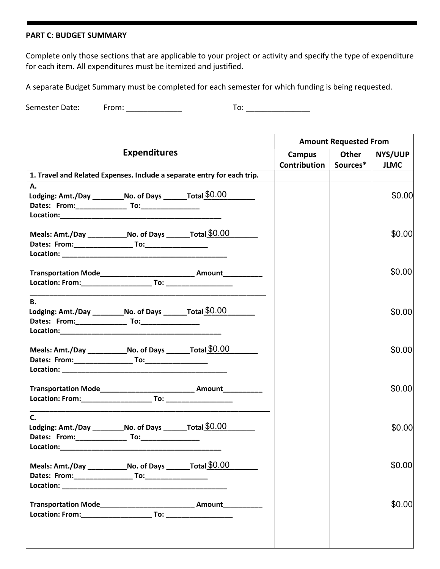## **PART C: BUDGET SUMMARY**

Complete only those sections that are applicable to your project or activity and specify the type of expenditure for each item. All expenditures must be itemized and justified.

A separate Budget Summary must be completed for each semester for which funding is being requested.

Semester Date: From: \_\_\_\_\_\_\_\_\_\_\_\_\_ To: \_\_\_\_\_\_\_\_\_\_\_\_\_\_\_

| <b>Expenditures</b>                                                     |  | <b>Amount Requested From</b>                                        |                       |         |             |
|-------------------------------------------------------------------------|--|---------------------------------------------------------------------|-----------------------|---------|-------------|
|                                                                         |  | Campus                                                              | Other                 | NYS/UUP |             |
|                                                                         |  |                                                                     | Contribution Sources* |         | <b>JLMC</b> |
| 1. Travel and Related Expenses. Include a separate entry for each trip. |  |                                                                     |                       |         |             |
| А.                                                                      |  |                                                                     |                       |         |             |
| Lodging: Amt./Day ___________No. of Days _________Total \$0.00          |  |                                                                     |                       |         | \$0.00      |
|                                                                         |  |                                                                     |                       |         |             |
|                                                                         |  |                                                                     |                       |         |             |
| Meals: Amt./Day ________________No. of Days __________ Total $$0.00$    |  |                                                                     |                       |         | \$0.00      |
|                                                                         |  |                                                                     |                       |         |             |
|                                                                         |  |                                                                     |                       |         |             |
|                                                                         |  |                                                                     |                       |         |             |
|                                                                         |  | Transportation Mode_____________________________ Amount____________ |                       |         | \$0.00      |
|                                                                         |  |                                                                     |                       |         |             |
|                                                                         |  |                                                                     |                       |         |             |
| <b>B.</b>                                                               |  |                                                                     |                       |         |             |
| Lodging: Amt./Day ____________No. of Days _________ Total $$0.00$       |  |                                                                     |                       |         | \$0.00      |
|                                                                         |  |                                                                     |                       |         |             |
|                                                                         |  |                                                                     |                       |         |             |
| Meals: Amt./Day _______________No. of Days _________ Total \$0.00       |  |                                                                     |                       |         | \$0.00      |
|                                                                         |  |                                                                     |                       |         |             |
|                                                                         |  |                                                                     |                       |         |             |
|                                                                         |  |                                                                     |                       |         |             |
|                                                                         |  | Transportation Mode______________________________ Amount___________ |                       |         | \$0.00      |
|                                                                         |  |                                                                     |                       |         |             |
| C.                                                                      |  |                                                                     |                       |         |             |
| Lodging: Amt./Day ____________No. of Days _________ Total \$0.00        |  |                                                                     |                       |         | \$0.00      |
|                                                                         |  |                                                                     |                       |         |             |
|                                                                         |  |                                                                     |                       |         |             |
|                                                                         |  |                                                                     |                       |         |             |
| Meals: Amt./Day _______________No. of Days _________Total \$0.00        |  |                                                                     |                       |         | \$0.00      |
|                                                                         |  |                                                                     |                       |         |             |
|                                                                         |  |                                                                     |                       |         |             |
|                                                                         |  |                                                                     |                       |         | \$0.00      |
|                                                                         |  |                                                                     |                       |         |             |
|                                                                         |  |                                                                     |                       |         |             |
|                                                                         |  |                                                                     |                       |         |             |
|                                                                         |  |                                                                     |                       |         |             |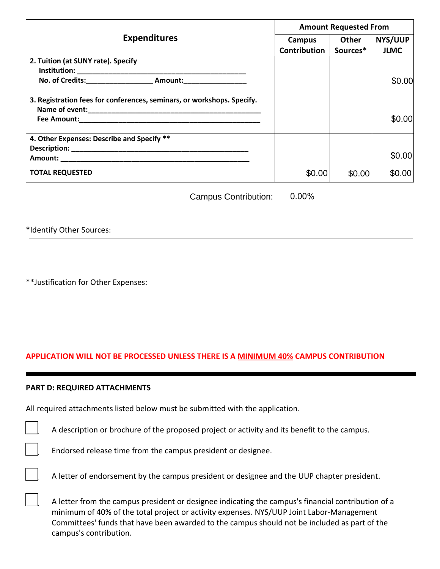|                                                                                  | <b>Amount Requested From</b> |          |             |
|----------------------------------------------------------------------------------|------------------------------|----------|-------------|
| <b>Expenditures</b>                                                              | Campus                       | Other    | NYS/UUP     |
|                                                                                  | Contribution                 | Sources* | <b>JLMC</b> |
| 2. Tuition (at SUNY rate). Specify                                               |                              |          |             |
|                                                                                  |                              |          |             |
| No. of Credits:___________________________ Amount:______________________________ |                              |          | \$0.00      |
| 3. Registration fees for conferences, seminars, or workshops. Specify.           |                              |          |             |
|                                                                                  |                              |          |             |
|                                                                                  |                              |          | \$0.00      |
| 4. Other Expenses: Describe and Specify **                                       |                              |          |             |
|                                                                                  |                              |          |             |
|                                                                                  |                              |          | \$0.00      |
| <b>TOTAL REQUESTED</b>                                                           | \$0.00                       | \$0.00   | \$0.00      |

Campus Contribution: 0.00%

\*Identify Other Sources:

 $\Box$ 

 $\sqrt{ }$ 

\*\*Justification for Other Expenses:

## **APPLICATION WILL NOT BE PROCESSED UNLESS THERE IS A MINIMUM 40% CAMPUS CONTRIBUTION**

#### **PART D: REQUIRED ATTACHMENTS**

All required attachments listed below must be submitted with the application.

A description or brochure of the proposed project or activity and its benefit to the campus.

Endorsed release time from the campus president or designee.

A letter from the campus president or designee indicating the campus's financial contribution of a minimum of 40% of the total project or activity expenses. NYS/UUP Joint Labor-Management Committees' funds that have been awarded to the campus should not be included as part of the campus's contribution.